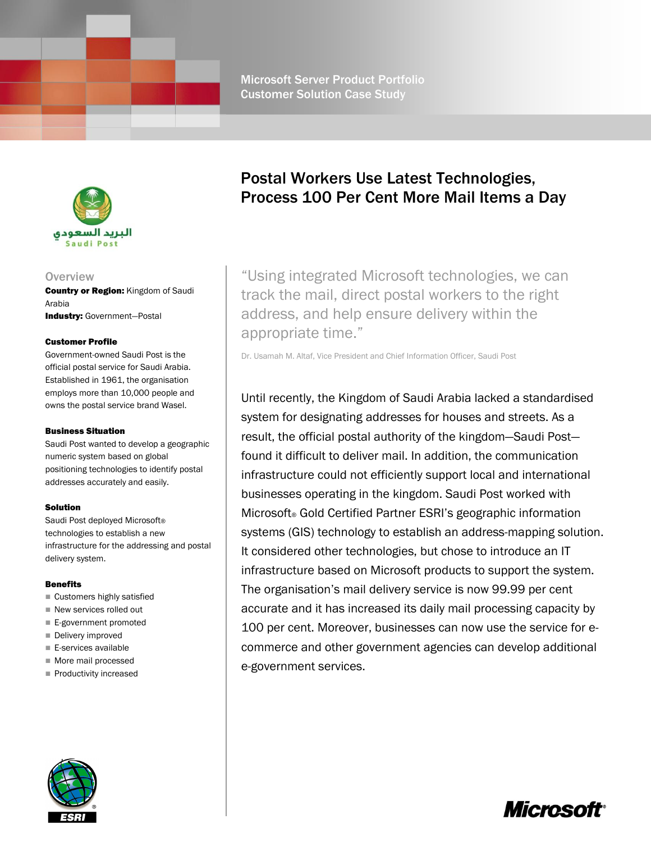

### **Overview**

**Country or Region: Kingdom of Saudi** Arabia Industry: Government-Postal

#### Customer Profile

Government-owned Saudi Post is the official postal service for Saudi Arabia. Established in 1961, the organisation employs more than 10,000 people and owns the postal service brand Wasel.

#### Business Situation

Saudi Post wanted to develop a geographic numeric system based on global positioning technologies to identify postal addresses accurately and easily.

#### Solution

Saudi Post deployed Microsoft® technologies to establish a new infrastructure for the addressing and postal delivery system.

#### **Benefits**

- Customers highly satisfied
- New services rolled out
- E-government promoted
- Delivery improved
- E-services available
- More mail processed
- $\blacksquare$  Productivity increased

# Postal Workers Use Latest Technologies, Process 100 Per Cent More Mail Items a Day

"Using integrated Microsoft technologies, we can track the mail, direct postal workers to the right address, and help ensure delivery within the appropriate time."

Dr. Usamah M. Altaf, Vice President and Chief Information Officer, Saudi Post

Until recently, the Kingdom of Saudi Arabia lacked a standardised system for designating addresses for houses and streets. As a result, the official postal authority of the kingdom—Saudi Post found it difficult to deliver mail. In addition, the communication infrastructure could not efficiently support local and international businesses operating in the kingdom. Saudi Post worked with Microsoft® Gold Certified Partner ESRI's geographic information systems (GIS) technology to establish an address-mapping solution. It considered other technologies, but chose to introduce an IT infrastructure based on Microsoft products to support the system. The organisation's mail delivery service is now 99.99 per cent accurate and it has increased its daily mail processing capacity by 100 per cent. Moreover, businesses can now use the service for ecommerce and other government agencies can develop additional e-government services.



*Microsot* 

Microsoft Server Product Portfolio Customer Solution Case Study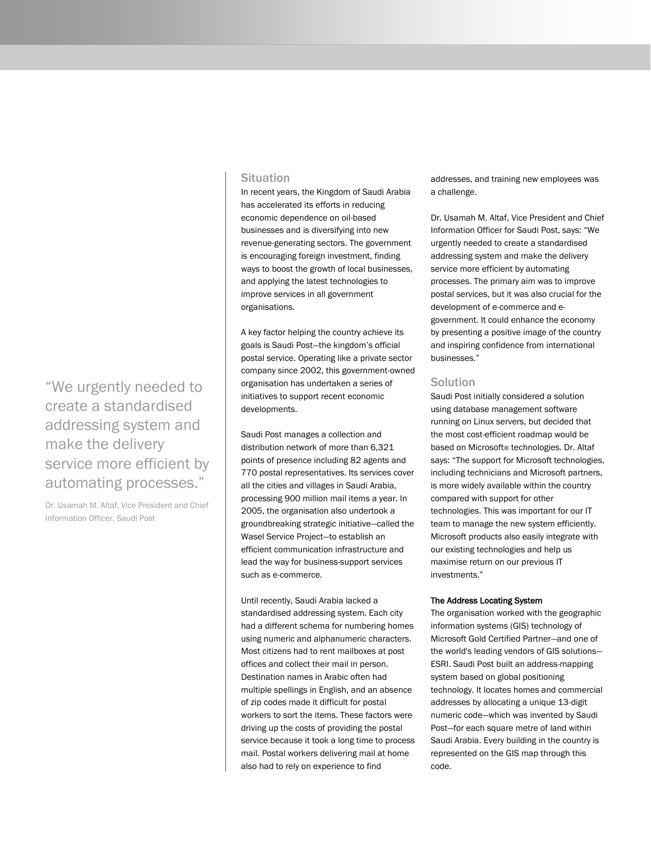## **Situation**

In recent years, the Kingdom of Saudi Arabia has accelerated its efforts in reducing economic dependence on oil-based businesses and is diversifying into new revenue-generating sectors. The government is encouraging foreign investment, finding ways to boost the growth of local businesses, and applying the latest technologies to improve services in all government organisations.

A key factor helping the country achieve its goals is Saudi Post—the kingdom's official postal service. Operating like a private sector company since 2002, this government-owned organisation has undertaken a series of initiatives to support recent economic developments.

Saudi Post manages a collection and distribution network of more than 6,321 points of presence including 82 agents and 770 postal representatives. Its services cover all the cities and villages in Saudi Arabia, processing 900 million mail items a year. In 2005, the organisation also undertook a groundbreaking strategic initiative—called the Wasel Service Project—to establish an efficient communication infrastructure and lead the way for business-support services such as e-commerce.

Until recently, Saudi Arabia lacked a standardised addressing system. Each city had a different schema for numbering homes using numeric and alphanumeric characters. Most citizens had to rent mailboxes at post offices and collect their mail in person. Destination names in Arabic often had multiple spellings in English, and an absence of zip codes made it difficult for postal workers to sort the items. These factors were driving up the costs of providing the postal service because it took a long time to process mail. Postal workers delivering mail at home also had to rely on experience to find

addresses, and training new employees was a challenge.

Dr. Usamah M. Altaf, Vice President and Chief Information Officer for Saudi Post, says: "We urgently needed to create a standardised addressing system and make the delivery service more efficient by automating processes. The primary aim was to improve postal services, but it was also crucial for the development of e-commerce and egovernment. It could enhance the economy by presenting a positive image of the country and inspiring confidence from international businesses."

## **Solution**

Saudi Post initially considered a solution using database management software running on Linux servers, but decided that the most cost-efficient roadmap would be based on Microsoft® technologies. Dr. Altaf says: "The support for Microsoft technologies, including technicians and Microsoft partners, is more widely available within the country compared with support for other technologies. This was important for our IT team to manage the new system efficiently. Microsoft products also easily integrate with our existing technologies and help us maximise return on our previous IT investments."

#### The Address Locating System

The organisation worked with the geographic information systems (GIS) technology of Microsoft Gold Certified Partner—and one of the world's leading vendors of GIS solutions— ESRI. Saudi Post built an address-mapping system based on global positioning technology. It locates homes and commercial addresses by allocating a unique 13-digit numeric code—which was invented by Saudi Post—for each square metre of land within Saudi Arabia. Every building in the country is represented on the GIS map through this code.

"We urgently needed to create a standardised addressing system and make the delivery service more efficient by automating processes."

Dr. Usamah M. Altaf, Vice President and Chief Information Officer, Saudi Post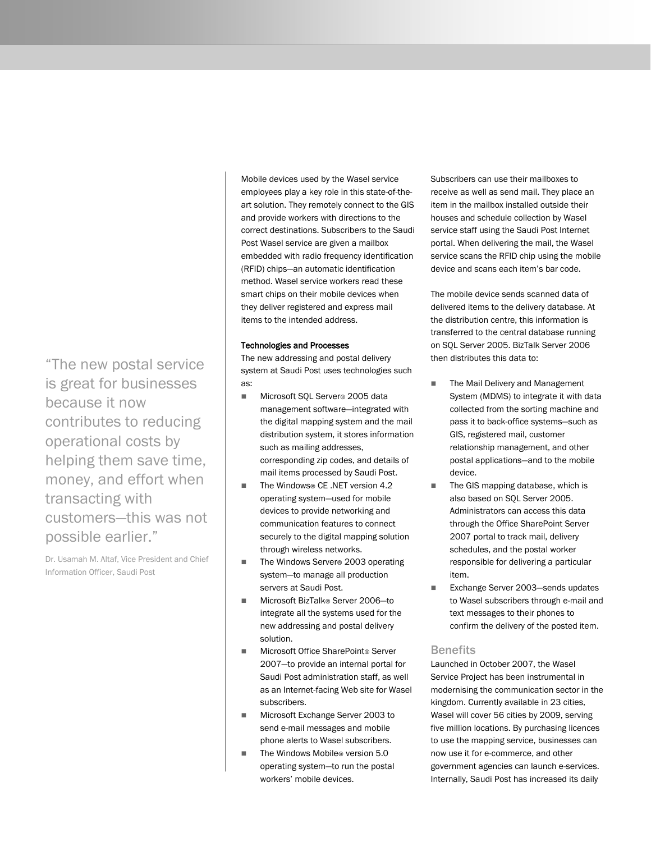"The new postal service is great for businesses because it now contributes to reducing operational costs by helping them save time, money, and effort when transacting with customers—this was not possible earlier."

Dr. Usamah M. Altaf, Vice President and Chief Information Officer, Saudi Post

Mobile devices used by the Wasel service employees play a key role in this state-of-theart solution. They remotely connect to the GIS and provide workers with directions to the correct destinations. Subscribers to the Saudi Post Wasel service are given a mailbox embedded with radio frequency identification (RFID) chips—an automatic identification method. Wasel service workers read these smart chips on their mobile devices when they deliver registered and express mail items to the intended address.

#### Technologies and Processes

The new addressing and postal delivery system at Saudi Post uses technologies such as:

- Microsoft SQL Server<sup>®</sup> 2005 data management software—integrated with the digital mapping system and the mail distribution system, it stores information such as mailing addresses, corresponding zip codes, and details of mail items processed by Saudi Post.
- The Windows® CE .NET version 4.2 operating system—used for mobile devices to provide networking and communication features to connect securely to the digital mapping solution through wireless networks.
- The Windows Server<sup>®</sup> 2003 operating system—to manage all production servers at Saudi Post.
- Microsoft BizTalk® Server 2006-to integrate all the systems used for the new addressing and postal delivery solution.
- Microsoft Office SharePoint® Server 2007—to provide an internal portal for Saudi Post administration staff, as well as an Internet-facing Web site for Wasel subscribers.
- Microsoft Exchange Server 2003 to send e-mail messages and mobile phone alerts to Wasel subscribers.
- The Windows Mobile<sup>®</sup> version 5.0 operating system—to run the postal workers' mobile devices.

Subscribers can use their mailboxes to receive as well as send mail. They place an item in the mailbox installed outside their houses and schedule collection by Wasel service staff using the Saudi Post Internet portal. When delivering the mail, the Wasel service scans the RFID chip using the mobile device and scans each item's bar code.

The mobile device sends scanned data of delivered items to the delivery database. At the distribution centre, this information is transferred to the central database running on SQL Server 2005. BizTalk Server 2006 then distributes this data to:

- The Mail Delivery and Management System (MDMS) to integrate it with data collected from the sorting machine and pass it to back-office systems—such as GIS, registered mail, customer relationship management, and other postal applications—and to the mobile device.
- The GIS mapping database, which is also based on SQL Server 2005. Administrators can access this data through the Office SharePoint Server 2007 portal to track mail, delivery schedules, and the postal worker responsible for delivering a particular item.
- Exchange Server 2003-sends updates to Wasel subscribers through e-mail and text messages to their phones to confirm the delivery of the posted item.

### Benefits

Launched in October 2007, the Wasel Service Project has been instrumental in modernising the communication sector in the kingdom. Currently available in 23 cities, Wasel will cover 56 cities by 2009, serving five million locations. By purchasing licences to use the mapping service, businesses can now use it for e-commerce, and other government agencies can launch e-services. Internally, Saudi Post has increased its daily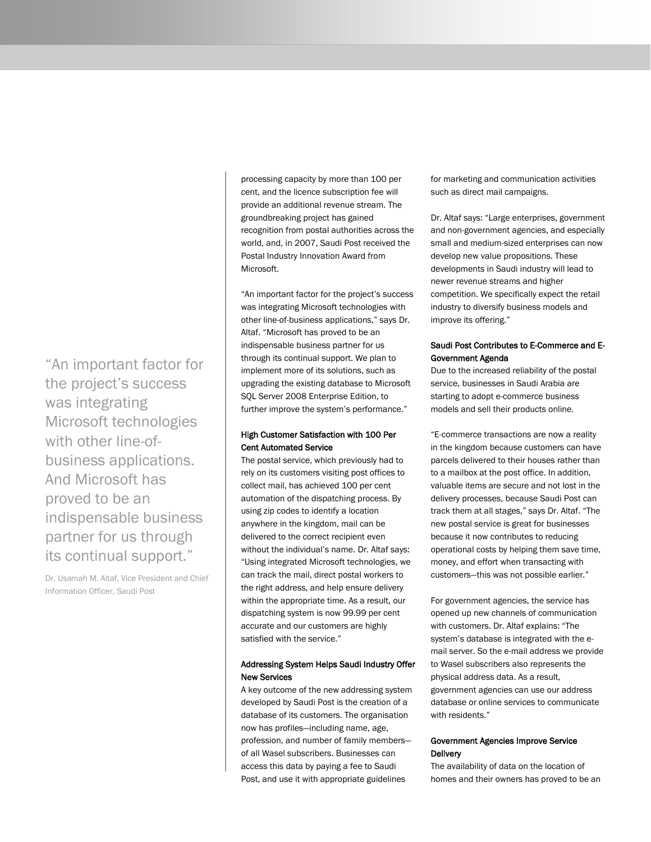"An important factor for the project's success was integrating Microsoft technologies with other line-ofbusiness applications. And Microsoft has proved to be an indispensable business partner for us through its continual support."

Dr. Usamah M. Altaf, Vice President and Chief Information Officer, Saudi Post

processing capacity by more than 100 per cent, and the licence subscription fee will provide an additional revenue stream. The groundbreaking project has gained recognition from postal authorities across the world, and, in 2007, Saudi Post received the Postal Industry Innovation Award from Microsoft.

"An important factor for the project's success was integrating Microsoft technologies with other line-of-business applications," says Dr. Altaf. "Microsoft has proved to be an indispensable business partner for us through its continual support. We plan to implement more of its solutions, such as upgrading the existing database to Microsoft SQL Server 2008 Enterprise Edition, to further improve the system's performance."

### High Customer Satisfaction with 100 Per Cent Automated Service

The postal service, which previously had to rely on its customers visiting post offices to collect mail, has achieved 100 per cent automation of the dispatching process. By using zip codes to identify a location anywhere in the kingdom, mail can be delivered to the correct recipient even without the individual's name. Dr. Altaf says: "Using integrated Microsoft technologies, we can track the mail, direct postal workers to the right address, and help ensure delivery within the appropriate time. As a result, our dispatching system is now 99.99 per cent accurate and our customers are highly satisfied with the service."

## Addressing System Helps Saudi Industry Offer New Services

A key outcome of the new addressing system developed by Saudi Post is the creation of a database of its customers. The organisation now has profiles—including name, age, profession, and number of family members of all Wasel subscribers. Businesses can access this data by paying a fee to Saudi Post, and use it with appropriate guidelines

for marketing and communication activities such as direct mail campaigns.

Dr. Altaf says: "Large enterprises, government and non-government agencies, and especially small and medium-sized enterprises can now develop new value propositions. These developments in Saudi industry will lead to newer revenue streams and higher competition. We specifically expect the retail industry to diversify business models and improve its offering."

## Saudi Post Contributes to E-Commerce and E-Government Agenda

Due to the increased reliability of the postal service, businesses in Saudi Arabia are starting to adopt e-commerce business models and sell their products online.

"E-commerce transactions are now a reality in the kingdom because customers can have parcels delivered to their houses rather than to a mailbox at the post office. In addition, valuable items are secure and not lost in the delivery processes, because Saudi Post can track them at all stages," says Dr. Altaf. "The new postal service is great for businesses because it now contributes to reducing operational costs by helping them save time, money, and effort when transacting with customers—this was not possible earlier."

For government agencies, the service has opened up new channels of communication with customers. Dr. Altaf explains: "The system's database is integrated with the email server. So the e-mail address we provide to Wasel subscribers also represents the physical address data. As a result, government agencies can use our address database or online services to communicate with residents."

## Government Agencies Improve Service **Delivery**

The availability of data on the location of homes and their owners has proved to be an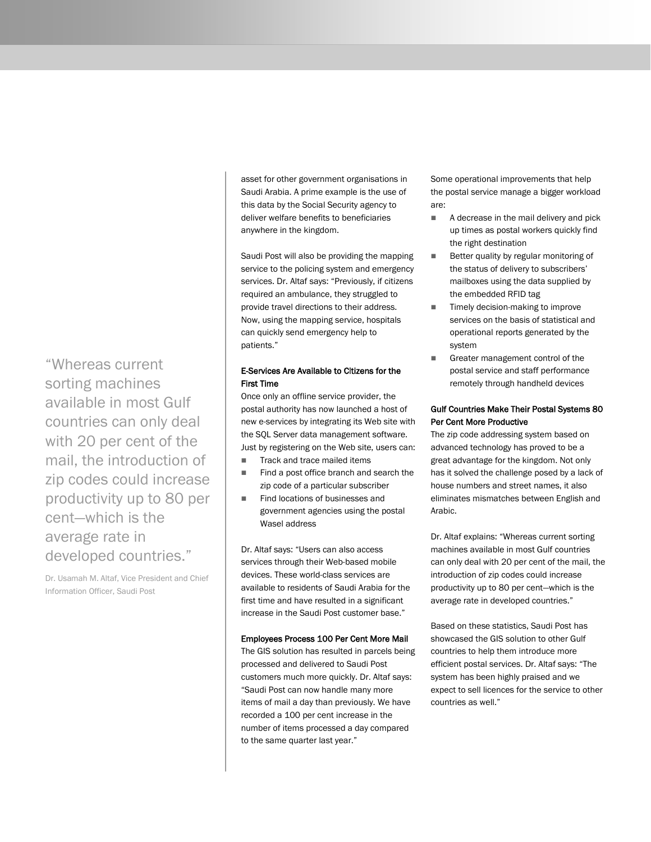asset for other government organisations in Saudi Arabia. A prime example is the use of this data by the Social Security agency to deliver welfare benefits to beneficiaries anywhere in the kingdom.

Saudi Post will also be providing the mapping service to the policing system and emergency services. Dr. Altaf says: "Previously, if citizens required an ambulance, they struggled to provide travel directions to their address. Now, using the mapping service, hospitals can quickly send emergency help to patients."

## E-Services Are Available to Citizens for the First Time

Once only an offline service provider, the postal authority has now launched a host of new e-services by integrating its Web site with the SQL Server data management software. Just by registering on the Web site, users can:

- Track and trace mailed items
- Find a post office branch and search the zip code of a particular subscriber
- Find locations of businesses and government agencies using the postal Wasel address

Dr. Altaf says: "Users can also access services through their Web-based mobile devices. These world-class services are available to residents of Saudi Arabia for the first time and have resulted in a significant increase in the Saudi Post customer base."

#### Employees Process 100 Per Cent More Mail

The GIS solution has resulted in parcels being processed and delivered to Saudi Post customers much more quickly. Dr. Altaf says: "Saudi Post can now handle many more items of mail a day than previously. We have recorded a 100 per cent increase in the number of items processed a day compared to the same quarter last year."

Some operational improvements that help the postal service manage a bigger workload are:

- A decrease in the mail delivery and pick up times as postal workers quickly find the right destination
- Better quality by regular monitoring of the status of delivery to subscribers' mailboxes using the data supplied by the embedded RFID tag
- Timely decision-making to improve services on the basis of statistical and operational reports generated by the system
- Greater management control of the postal service and staff performance remotely through handheld devices

#### Gulf Countries Make Their Postal Systems 80 Per Cent More Productive

The zip code addressing system based on advanced technology has proved to be a great advantage for the kingdom. Not only has it solved the challenge posed by a lack of house numbers and street names, it also eliminates mismatches between English and Arabic.

Dr. Altaf explains: "Whereas current sorting machines available in most Gulf countries can only deal with 20 per cent of the mail, the introduction of zip codes could increase productivity up to 80 per cent—which is the average rate in developed countries."

Based on these statistics, Saudi Post has showcased the GIS solution to other Gulf countries to help them introduce more efficient postal services. Dr. Altaf says: "The system has been highly praised and we expect to sell licences for the service to other countries as well."

"Whereas current sorting machines available in most Gulf countries can only deal with 20 per cent of the mail, the introduction of zip codes could increase productivity up to 80 per cent—which is the average rate in developed countries."

Dr. Usamah M. Altaf, Vice President and Chief Information Officer, Saudi Post